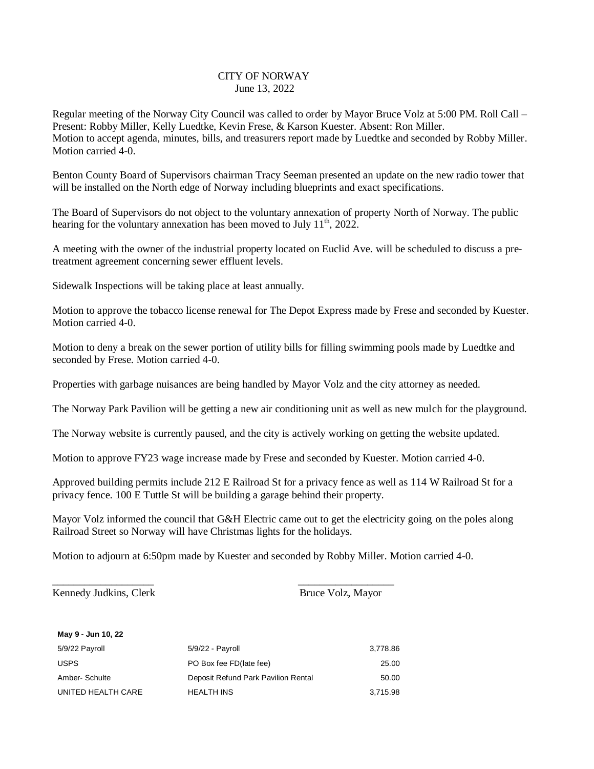## CITY OF NORWAY June 13, 2022

Regular meeting of the Norway City Council was called to order by Mayor Bruce Volz at 5:00 PM. Roll Call – Present: Robby Miller, Kelly Luedtke, Kevin Frese, & Karson Kuester. Absent: Ron Miller. Motion to accept agenda, minutes, bills, and treasurers report made by Luedtke and seconded by Robby Miller. Motion carried 4-0.

Benton County Board of Supervisors chairman Tracy Seeman presented an update on the new radio tower that will be installed on the North edge of Norway including blueprints and exact specifications.

The Board of Supervisors do not object to the voluntary annexation of property North of Norway. The public hearing for the voluntary annexation has been moved to July  $11<sup>th</sup>$ , 2022.

A meeting with the owner of the industrial property located on Euclid Ave. will be scheduled to discuss a pretreatment agreement concerning sewer effluent levels.

Sidewalk Inspections will be taking place at least annually.

Motion to approve the tobacco license renewal for The Depot Express made by Frese and seconded by Kuester. Motion carried 4-0.

Motion to deny a break on the sewer portion of utility bills for filling swimming pools made by Luedtke and seconded by Frese. Motion carried 4-0.

Properties with garbage nuisances are being handled by Mayor Volz and the city attorney as needed.

The Norway Park Pavilion will be getting a new air conditioning unit as well as new mulch for the playground.

The Norway website is currently paused, and the city is actively working on getting the website updated.

Motion to approve FY23 wage increase made by Frese and seconded by Kuester. Motion carried 4-0.

Approved building permits include 212 E Railroad St for a privacy fence as well as 114 W Railroad St for a privacy fence. 100 E Tuttle St will be building a garage behind their property.

Mayor Volz informed the council that G&H Electric came out to get the electricity going on the poles along Railroad Street so Norway will have Christmas lights for the holidays.

Motion to adjourn at 6:50pm made by Kuester and seconded by Robby Miller. Motion carried 4-0.

Kennedy Judkins, Clerk Bruce Volz, Mayor

**May 9 - Jun 10, 22**

| <b>IVIAV J-JUII IV, ZZ</b> |                                     |          |
|----------------------------|-------------------------------------|----------|
| 5/9/22 Payroll             | $5/9/22$ - Payroll                  | 3,778.86 |
| <b>USPS</b>                | PO Box fee FD(late fee)             | 25.00    |
| Amber- Schulte             | Deposit Refund Park Pavilion Rental | 50.00    |
| UNITED HEALTH CARE         | <b>HEALTH INS</b>                   | 3,715.98 |

\_\_\_\_\_\_\_\_\_\_\_\_\_\_\_\_\_\_\_ \_\_\_\_\_\_\_\_\_\_\_\_\_\_\_\_\_\_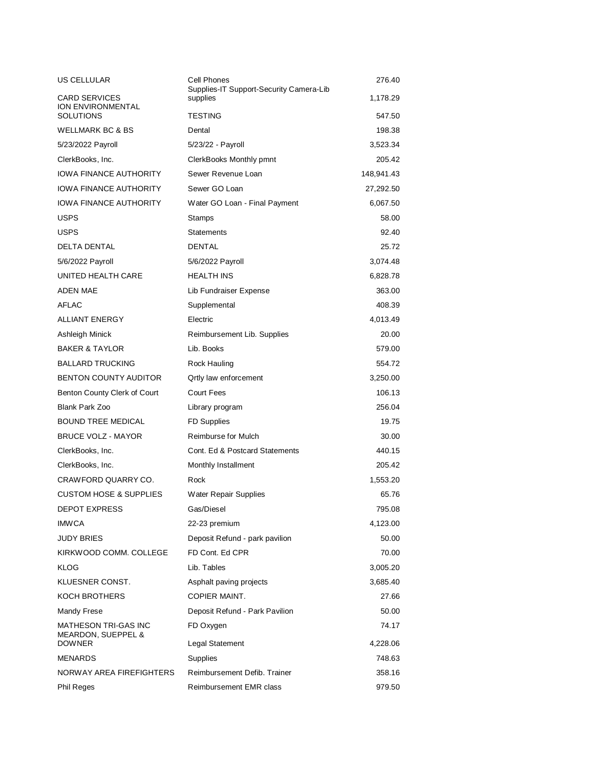| US CELLULAR                                       | Cell Phones<br>Supplies-IT Support-Security Camera-Lib | 276.40     |
|---------------------------------------------------|--------------------------------------------------------|------------|
| <b>CARD SERVICES</b><br>ION ENVIRONMENTAL         | supplies                                               | 1,178.29   |
| <b>SOLUTIONS</b>                                  | <b>TESTING</b>                                         | 547.50     |
| <b>WELLMARK BC &amp; BS</b>                       | Dental                                                 | 198.38     |
| 5/23/2022 Payroll                                 | 5/23/22 - Payroll                                      | 3,523.34   |
| ClerkBooks, Inc.                                  | ClerkBooks Monthly pmnt                                | 205.42     |
| <b>IOWA FINANCE AUTHORITY</b>                     | Sewer Revenue Loan                                     | 148.941.43 |
| <b>IOWA FINANCE AUTHORITY</b>                     | Sewer GO Loan                                          | 27,292.50  |
| <b>IOWA FINANCE AUTHORITY</b>                     | Water GO Loan - Final Payment                          | 6,067.50   |
| <b>USPS</b>                                       | Stamps                                                 | 58.00      |
| <b>USPS</b>                                       | <b>Statements</b>                                      | 92.40      |
| <b>DELTA DENTAL</b>                               | <b>DENTAL</b>                                          | 25.72      |
| 5/6/2022 Payroll                                  | 5/6/2022 Payroll                                       | 3,074.48   |
| UNITED HEALTH CARE                                | <b>HEALTH INS</b>                                      | 6,828.78   |
| <b>ADEN MAE</b>                                   | Lib Fundraiser Expense                                 | 363.00     |
| <b>AFLAC</b>                                      | Supplemental                                           | 408.39     |
| <b>ALLIANT ENERGY</b>                             | Electric                                               | 4,013.49   |
| Ashleigh Minick                                   | Reimbursement Lib. Supplies                            | 20.00      |
| <b>BAKER &amp; TAYLOR</b>                         | Lib. Books                                             | 579.00     |
| <b>BALLARD TRUCKING</b>                           | <b>Rock Hauling</b>                                    | 554.72     |
| <b>BENTON COUNTY AUDITOR</b>                      | <b>Qrtly law enforcement</b>                           | 3,250.00   |
| Benton County Clerk of Court                      | Court Fees                                             | 106.13     |
| Blank Park Zoo                                    | Library program                                        | 256.04     |
| <b>BOUND TREE MEDICAL</b>                         | <b>FD Supplies</b>                                     | 19.75      |
| <b>BRUCE VOLZ - MAYOR</b>                         | Reimburse for Mulch                                    | 30.00      |
| ClerkBooks, Inc.                                  | Cont. Ed & Postcard Statements                         | 440.15     |
| ClerkBooks, Inc.                                  | Monthly Installment                                    | 205.42     |
| CRAWFORD QUARRY CO.                               | Rock                                                   | 1,553.20   |
| <b>CUSTOM HOSE &amp; SUPPLIES</b>                 | Water Repair Supplies                                  | 65.76      |
| <b>DEPOT EXPRESS</b>                              | Gas/Diesel                                             | 795.08     |
| <b>IMWCA</b>                                      | 22-23 premium                                          | 4,123.00   |
| <b>JUDY BRIES</b>                                 | Deposit Refund - park pavilion                         | 50.00      |
| KIRKWOOD COMM. COLLEGE                            | FD Cont. Ed CPR                                        | 70.00      |
| <b>KLOG</b>                                       | Lib. Tables                                            | 3,005.20   |
| KLUESNER CONST.                                   | Asphalt paving projects                                | 3,685.40   |
| KOCH BROTHERS                                     | COPIER MAINT.                                          | 27.66      |
| Mandy Frese                                       | Deposit Refund - Park Pavilion                         | 50.00      |
| <b>MATHESON TRI-GAS INC</b><br>MEARDON, SUEPPEL & | FD Oxygen                                              | 74.17      |
| <b>DOWNER</b>                                     | Legal Statement                                        | 4,228.06   |
| <b>MENARDS</b>                                    | <b>Supplies</b>                                        | 748.63     |
| NORWAY AREA FIREFIGHTERS                          | Reimbursement Defib. Trainer                           | 358.16     |
| <b>Phil Reges</b>                                 | Reimbursement EMR class                                | 979.50     |